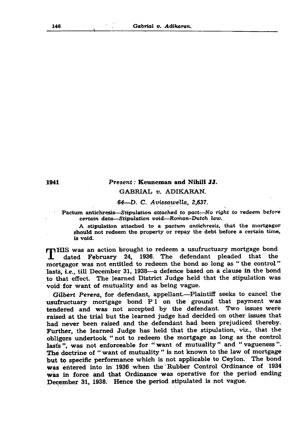| 146 |  | Gabrial v. Adikaran. |
|-----|--|----------------------|
|     |  |                      |
|     |  |                      |

1941 *P r e s e n t:* Keuneman and Nihill JJ. GABRIAL *v.* ADIKARAN.

*64*—D. C. *A vissaw ella, 2,637.*

Pactum antichresis—Stipulation attached to pact—No right to redeem before *certa in data— S tipulation void*—*R om a n -D u tch law.*

A stipulation attached to a *pactum antichresis*, that the mortgagor

should not redeem the property or repay the debt before a certain time, is void.

**THE WAS an action brought to redeem a usufructuary mortgage bond<br>
1. dated February 24, 1936. The defendant pleaded that the** dated February 24, 1936. The defendant pleaded that the mortgagor was not entitled to redeem the bond so long as " the control " lasts, *i.e.*, till December 31, 1938—a defence based on a clause in the bond to that effect. The learned District Judge held that the stipulation was void for want of mutuality and as being vague.

Gilbert Perera, for defendant, appellant.—Plaintiff seeks to cancel the usufructuary mortgage bond P 1 on the ground that payment was tendered and was not accepted by the defendant. Two issues were raised at the trial but the learned judge had decided on other issues that had never been raised and the defendant had been prejudiced thereby. Further, the learned Judge has held that the stipulation, viz., that the obligors undertook " not to redeem the mortgage as long as the control last's ", was not enforceable for "want of mutuality" and "vagueness". The doctrine of " want of mutuality " is not known to the law of mortgage but to specific performance which is not applicable to Ceylon. The bond was entered into in 1936 when the Rubber Control Ordinance of 1934 was in force and that Ordinance was operative for the period ending Decem ber 31, 1938. Hence the period stipulated is not vague.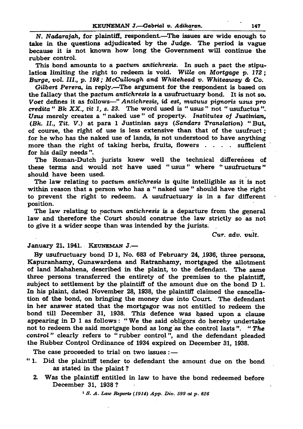This bond amounts to a *pactum antichresis.* In such a pact the stipulation lim iting the right to redeem is void. *Wille* on *Mortgage* p. *172; Burge, vol. III., p. 198; McCullough and Whitehead v. Whiteaway & Co. Gilbert Perera,* in reply.—The argument for the respondent is based on the fallacy that the *pactum antichresis* is a usufructuary bond. It is not so. *Voet* defines it as follows—" *Antichresis, id est, mutuus pignoris usus pro credita " Bk X X ., tit 1, s. 23.* The w ord used is " usus " not " usufuctus" . Usus merely creates a "naked use" of property. *Institutes of Justinian*, *(Bk. II., Tit.* V.) at para 1 Justinian says *(Sandars Translation*) " But, of course, the right of use is less extensive than that of the usufruct; for he who has the naked use of lands, is not understood to have anything more than the right of taking herbs, fruits, flowers . . . . sufficient for his daily needs".

## KEUNEMAN J.— Gabrial v. Adikaran. 147

*N. Nadarajah,* for plaintiff, respondent.—The issues are w ide enough to take in the questions adjudicated by the Judge. The period is vague because it is not known how long the Government will continue the rubber control.

The Roman-Dutch jurists knew well the technical differences of these terms and would not have used "usus" where "usufructurs" should have been used.

The law relating to *pactum antichresis* is a departure from the general law and therefore the Court should construe the law strictly so as not to give it a wider scope than was intended by the jurists.

The law relating to *pactum antichresis* is quite intelligible as it is not within reason that a person who has a " naked use" should have the right to prevent the right to redeem. A usufructuary is in a far different position.

- " 1. Did the plaintiff tender to defendant the amount due on the bond as stated in the plaint ?
	- 2. Was the plaintiff entitled in law to have the bond redeemed before Decem ber 31, 1938 ?

## January 21. 1941. Keuneman J.—

By usufructuary bond  $D$  1, No. 683 of February 24, 1936, three persons, Kapuranhamy, Gunawardena and Ratranhamy, mortgaged the allotment of land Mahahena, described in the plaint, to the defendant. The same three persons transferred the entirety of the premises to the plaintiff. subject to settlement by the plaintiff of the amount due on the bond  $D$  1. In his plaint, dated November 28, 1938, the plaintiff claimed the cancellation of the bond, on bringing the money due into Court. The defendant in her answer stated that the mortgagor was not entitled to redeem the bond till December 31, 1938. This defence was based upon a clause appearing in  $D$  1 as follows: "We the said obligors do hereby undertake not to redeem the said mortgage bond as long as the control lasts". "The control" clearly refers to "rubber control", and the defendant pleaded the Rubber Control Ordinance of 1934 expired on December 31, 1938.

The case proceeded to trial on two issues  $:$  —

1 *S. A. Law Reports (1914) App. Div. 599 at p. 626*